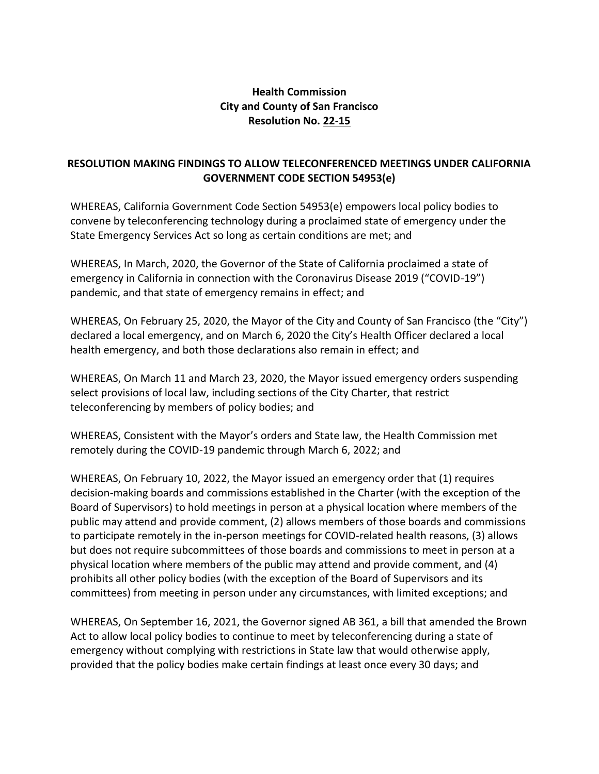## **Health Commission City and County of San Francisco Resolution No. 22-15**

## **RESOLUTION MAKING FINDINGS TO ALLOW TELECONFERENCED MEETINGS UNDER CALIFORNIA GOVERNMENT CODE SECTION 54953(e)**

WHEREAS, California Government Code Section 54953(e) empowers local policy bodies to convene by teleconferencing technology during a proclaimed state of emergency under the State Emergency Services Act so long as certain conditions are met; and

WHEREAS, In March, 2020, the Governor of the State of California proclaimed a state of emergency in California in connection with the Coronavirus Disease 2019 ("COVID-19") pandemic, and that state of emergency remains in effect; and

WHEREAS, On February 25, 2020, the Mayor of the City and County of San Francisco (the "City") declared a local emergency, and on March 6, 2020 the City's Health Officer declared a local health emergency, and both those declarations also remain in effect; and

WHEREAS, On March 11 and March 23, 2020, the Mayor issued emergency orders suspending select provisions of local law, including sections of the City Charter, that restrict teleconferencing by members of policy bodies; and

WHEREAS, Consistent with the Mayor's orders and State law, the Health Commission met remotely during the COVID-19 pandemic through March 6, 2022; and

WHEREAS, On February 10, 2022, the Mayor issued an emergency order that (1) requires decision-making boards and commissions established in the Charter (with the exception of the Board of Supervisors) to hold meetings in person at a physical location where members of the public may attend and provide comment, (2) allows members of those boards and commissions to participate remotely in the in-person meetings for COVID-related health reasons, (3) allows but does not require subcommittees of those boards and commissions to meet in person at a physical location where members of the public may attend and provide comment, and (4) prohibits all other policy bodies (with the exception of the Board of Supervisors and its committees) from meeting in person under any circumstances, with limited exceptions; and

WHEREAS, On September 16, 2021, the Governor signed AB 361, a bill that amended the Brown Act to allow local policy bodies to continue to meet by teleconferencing during a state of emergency without complying with restrictions in State law that would otherwise apply, provided that the policy bodies make certain findings at least once every 30 days; and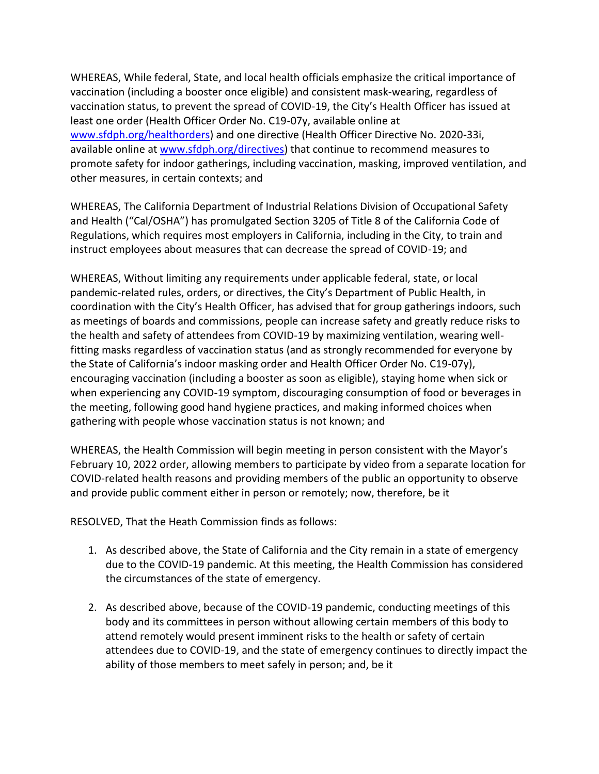WHEREAS, While federal, State, and local health officials emphasize the critical importance of vaccination (including a booster once eligible) and consistent mask-wearing, regardless of vaccination status, to prevent the spread of COVID-19, the City's Health Officer has issued at least one order (Health Officer Order No. C19-07y, available online at [www.sfdph.org/healthorders\)](https://www.sfdph.org/healthorders) and one directive (Health Officer Directive No. 2020-33i, available online at [www.sfdph.org/directives\)](https://www.sfdph.org/directives) that continue to recommend measures to promote safety for indoor gatherings, including vaccination, masking, improved ventilation, and other measures, in certain contexts; and

WHEREAS, The California Department of Industrial Relations Division of Occupational Safety and Health ("Cal/OSHA") has promulgated Section 3205 of Title 8 of the California Code of Regulations, which requires most employers in California, including in the City, to train and instruct employees about measures that can decrease the spread of COVID-19; and

WHEREAS, Without limiting any requirements under applicable federal, state, or local pandemic-related rules, orders, or directives, the City's Department of Public Health, in coordination with the City's Health Officer, has advised that for group gatherings indoors, such as meetings of boards and commissions, people can increase safety and greatly reduce risks to the health and safety of attendees from COVID-19 by maximizing ventilation, wearing wellfitting masks regardless of vaccination status (and as strongly recommended for everyone by the State of California's indoor masking order and Health Officer Order No. C19-07y), encouraging vaccination (including a booster as soon as eligible), staying home when sick or when experiencing any COVID-19 symptom, discouraging consumption of food or beverages in the meeting, following good hand hygiene practices, and making informed choices when gathering with people whose vaccination status is not known; and

WHEREAS, the Health Commission will begin meeting in person consistent with the Mayor's February 10, 2022 order, allowing members to participate by video from a separate location for COVID-related health reasons and providing members of the public an opportunity to observe and provide public comment either in person or remotely; now, therefore, be it

RESOLVED, That the Heath Commission finds as follows:

- 1. As described above, the State of California and the City remain in a state of emergency due to the COVID-19 pandemic. At this meeting, the Health Commission has considered the circumstances of the state of emergency.
- 2. As described above, because of the COVID-19 pandemic, conducting meetings of this body and its committees in person without allowing certain members of this body to attend remotely would present imminent risks to the health or safety of certain attendees due to COVID-19, and the state of emergency continues to directly impact the ability of those members to meet safely in person; and, be it